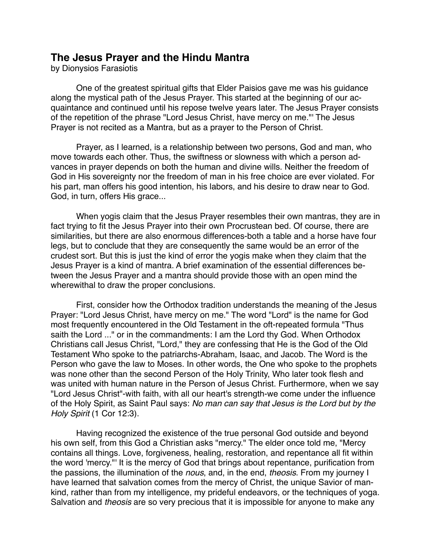## **The Jesus Prayer and the Hindu Mantra**

by Dionysios Farasiotis

One of the greatest spiritual gifts that Elder Paisios gave me was his guidance along the mystical path of the Jesus Prayer. This started at the beginning of our acquaintance and continued until his repose twelve years later. The Jesus Prayer consists of the repetition of the phrase "Lord Jesus Christ, have mercy on me."' The Jesus Prayer is not recited as a Mantra, but as a prayer to the Person of Christ.

Prayer, as I learned, is a relationship between two persons, God and man, who move towards each other. Thus, the swiftness or slowness with which a person advances in prayer depends on both the human and divine wills. Neither the freedom of God in His sovereignty nor the freedom of man in his free choice are ever violated. For his part, man offers his good intention, his labors, and his desire to draw near to God. God, in turn, offers His grace...

When yogis claim that the Jesus Prayer resembles their own mantras, they are in fact trying to fit the Jesus Prayer into their own Procrustean bed. Of course, there are similarities, but there are also enormous differences-both a table and a horse have four legs, but to conclude that they are consequently the same would be an error of the crudest sort. But this is just the kind of error the yogis make when they claim that the Jesus Prayer is a kind of mantra. A brief examination of the essential differences between the Jesus Prayer and a mantra should provide those with an open mind the wherewithal to draw the proper conclusions.

First, consider how the Orthodox tradition understands the meaning of the Jesus Prayer: "Lord Jesus Christ, have mercy on me." The word "Lord" is the name for God most frequently encountered in the Old Testament in the oft-repeated formula "Thus saith the Lord ..." or in the commandments: I am the Lord thy God. When Orthodox Christians call Jesus Christ, "Lord," they are confessing that He is the God of the Old Testament Who spoke to the patriarchs-Abraham, Isaac, and Jacob. The Word is the Person who gave the law to Moses. In other words, the One who spoke to the prophets was none other than the second Person of the Holy Trinity, Who later took flesh and was united with human nature in the Person of Jesus Christ. Furthermore, when we say "Lord Jesus Christ"-with faith, with all our heart's strength-we come under the influence of the Holy Spirit, as Saint Paul says: *No man can say that Jesus is the Lord but by the Holy Spirit* (1 Cor 12:3).

Having recognized the existence of the true personal God outside and beyond his own self, from this God a Christian asks "mercy." The elder once told me, "Mercy contains all things. Love, forgiveness, healing, restoration, and repentance all fit within the word 'mercy."' It is the mercy of God that brings about repentance, purification from the passions, the illumination of the *nous*, and, in the end, *theosis*. From my journey I have learned that salvation comes from the mercy of Christ, the unique Savior of mankind, rather than from my intelligence, my prideful endeavors, or the techniques of yoga. Salvation and *theosis* are so very precious that it is impossible for anyone to make any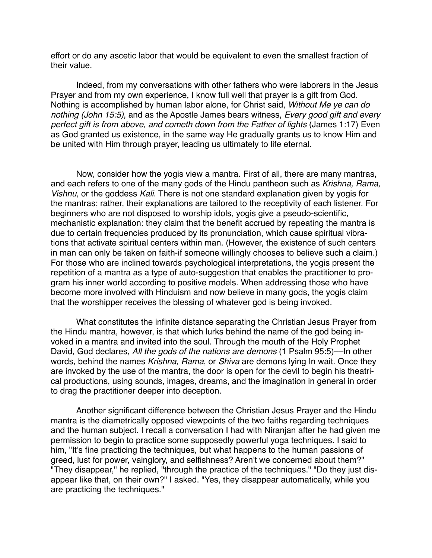effort or do any ascetic labor that would be equivalent to even the smallest fraction of their value.

Indeed, from my conversations with other fathers who were laborers in the Jesus Prayer and from my own experience, I know full well that prayer is a gift from God. Nothing is accomplished by human labor alone, for Christ said, *Without Me ye can do nothing (John 15:5)*, and as the Apostle James bears witness, *Every good gift and every perfect gift is from above, and cometh down from the Father of lights* (James 1:17) Even as God granted us existence, in the same way He gradually grants us to know Him and be united with Him through prayer, leading us ultimately to life eternal.

Now, consider how the yogis view a mantra. First of all, there are many mantras, and each refers to one of the many gods of the Hindu pantheon such as *Krishna, Rama, Vishnu,* or the goddess *Kali*. There is not one standard explanation given by yogis for the mantras; rather, their explanations are tailored to the receptivity of each listener. For beginners who are not disposed to worship idols, yogis give a pseudo-scientific, mechanistic explanation: they claim that the benefit accrued by repeating the mantra is due to certain frequencies produced by its pronunciation, which cause spiritual vibrations that activate spiritual centers within man. (However, the existence of such centers in man can only be taken on faith-if someone willingly chooses to believe such a claim.) For those who are inclined towards psychological interpretations, the yogis present the repetition of a mantra as a type of auto-suggestion that enables the practitioner to program his inner world according to positive models. When addressing those who have become more involved with Hinduism and now believe in many gods, the yogis claim that the worshipper receives the blessing of whatever god is being invoked.

What constitutes the infinite distance separating the Christian Jesus Prayer from the Hindu mantra, however, is that which lurks behind the name of the god being invoked in a mantra and invited into the soul. Through the mouth of the Holy Prophet David, God declares, *All the gods of the nations are demons* (1 Psalm 95:5)––In other words, behind the names *Krishna, Rama*, or *Shiva* are demons lying In wait. Once they are invoked by the use of the mantra, the door is open for the devil to begin his theatrical productions, using sounds, images, dreams, and the imagination in general in order to drag the practitioner deeper into deception.

Another significant difference between the Christian Jesus Prayer and the Hindu mantra is the diametrically opposed viewpoints of the two faiths regarding techniques and the human subject. I recall a conversation I had with Niranjan after he had given me permission to begin to practice some supposedly powerful yoga techniques. I said to him, "It's fine practicing the techniques, but what happens to the human passions of greed, lust for power, vainglory, and selfishness? Aren't we concerned about them?" "They disappear," he replied, "through the practice of the techniques." "Do they just disappear like that, on their own?" I asked. "Yes, they disappear automatically, while you are practicing the techniques."